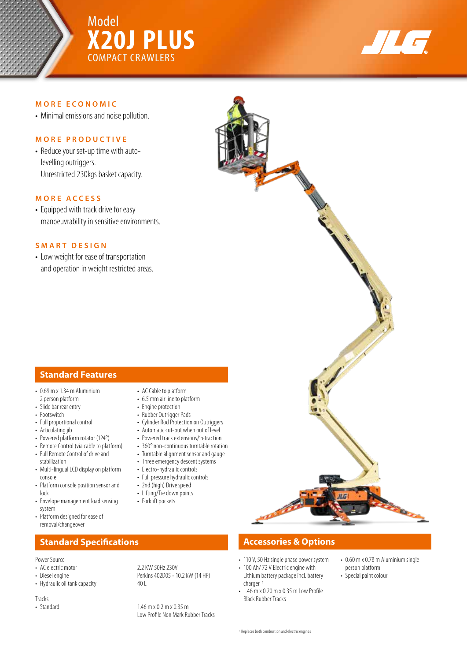

# Model **X20J PLUS** COMPACT CRAWLERS



### **MORE ECONOMIC**

• Minimal emissions and noise pollution.

### **MORE PRODUCTIVE**

• Reduce your set-up time with autolevelling outriggers. Unrestricted 230kgs basket capacity.

### **MORE ACCESS**

• Equipped with track drive for easy manoeuvrability in sensitive environments.

### **SMART DESIGN**

• Low weight for ease of transportation and operation in weight restricted areas.

# **Standard Features**

- $\cdot$  0.69 m x 1.34 m Aluminium 2 person platform
- Slide bar rear entry
- Footswitch
- Full proportional control
- Articulating jib
- Powered platform rotator (124°)
- Remote Control (via cable to platform)
- Full Remote Control of drive and stabilization
- Multi-lingual LCD display on platform console
- Platform console position sensor and lock
- Envelope management load sensing system
- Platform designed for ease of removal/changeover

### Power Source

- 
- 
- Hydraulic oil tank capacity 40 L
- 
- Tracks<br>• Standard

- AC Cable to platform • 6,5 mm air line to platform
- Engine protection
- Rubber Outrigger Pads
- Cylinder Rod Protection on Outriggers
- Automatic cut-out when out of level
- Powered track extensions/'retraction
- 360° non-continuous turntable rotation
- Turntable alignment sensor and gauge • Three emergency descent systems
- Electro-hydraulic controls
- Full pressure hydraulic controls
- 2nd (high) Drive speed
- Lifting/Tie down points
- Forklift pockets
- 

# **Standard Specifications Accessories & Options Accessories & Options**

- 110 V, 50 Hz single phase power system
- 100 Ah/ 72 V Electric engine with Lithium battery package incl. battery
- charger 1 •  $1.46 \text{ m} \times 0.20 \text{ m} \times 0.35 \text{ m}$  Low Profile
- Black Rubber Tracks
- 0.60 m x 0.78 m Aluminium single person platform
- Special paint colour
- 1 Replaces both combustion and electric engines

# The Contract of Some

# • AC electric motor<br>
• Diesel engine<br>
• Perkins 402005 - 1 Perkins 402D05 - 10.2 kW (14 HP)

 $1.46$  m x 0.2 m x 0.35 m Low Profile Non Mark Rubber Tracks